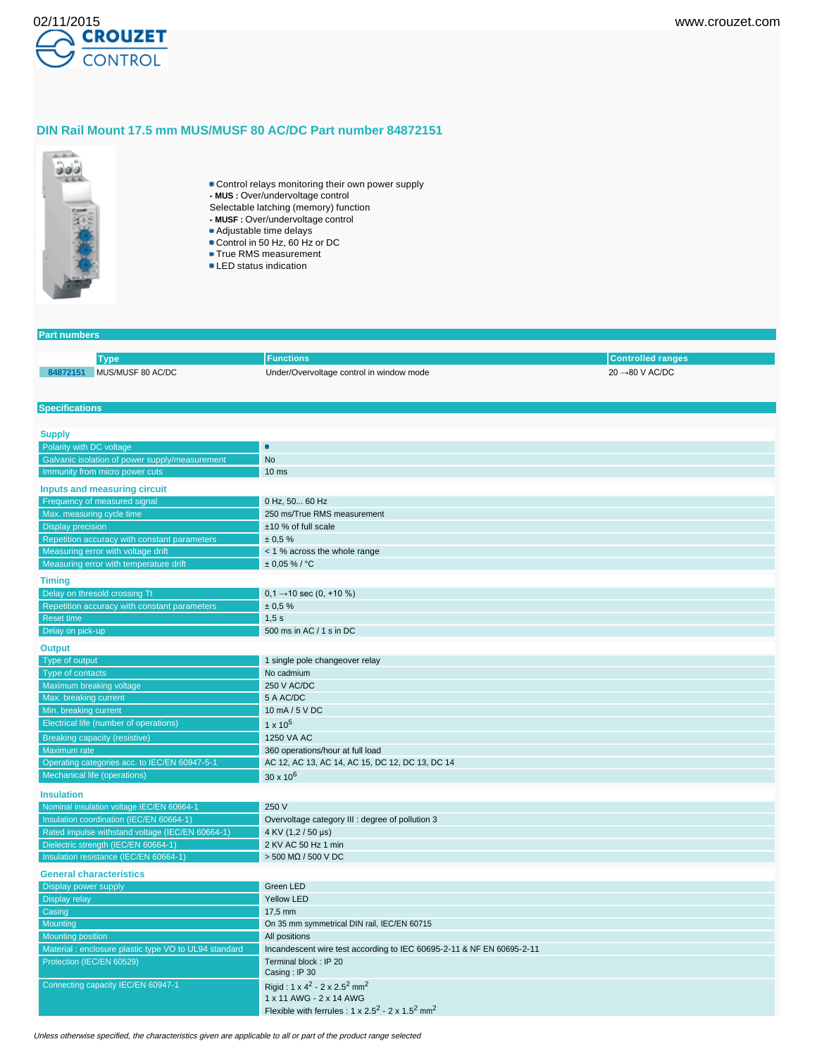

## **DIN Rail Mount 17.5 mm MUS/MUSF 80 AC/DC Part number 84872151**



- Control relays monitoring their own power supply
- **MUS :** Over/undervoltage control
- Selectable latching (memory) function
- **MUSF :** Over/undervoltage control
- Adjustable time delays
- Control in 50 Hz, 60 Hz or DC
- **True RMS measurement**
- LED status indication

### **Part numbers**

|                        |                  | :tions                                   | randes                         |
|------------------------|------------------|------------------------------------------|--------------------------------|
| <b>RAR724-</b><br>"MUJ | US/MUSF 80 AC/DC | Under/Overvoltage control in window mode | $\rightarrow$ 80 V AC/DC<br>20 |

### **Specifications**

| <b>Supply</b>                                                                 |                                                                            |
|-------------------------------------------------------------------------------|----------------------------------------------------------------------------|
| Polarity with DC voltage                                                      | ö                                                                          |
| Galvanic isolation of power supply/measurement                                | <b>No</b>                                                                  |
| Immunity from micro power cuts                                                | 10 <sub>ms</sub>                                                           |
| Inputs and measuring circuit                                                  |                                                                            |
| Frequency of measured signal                                                  | 0 Hz, 50 60 Hz                                                             |
| Max. measuring cycle time                                                     | 250 ms/True RMS measurement                                                |
| Display precision                                                             | ±10 % of full scale                                                        |
| Repetition accuracy with constant parameters                                  | ± 0.5%                                                                     |
| Measuring error with voltage drift                                            | < 1 % across the whole range                                               |
| Measuring error with temperature drift                                        | $± 0.05 \%$ / °C                                                           |
| <b>Timing</b>                                                                 |                                                                            |
| Delay on thresold crossing Tt                                                 | $0,1 \rightarrow 10$ sec $(0, +10\%)$                                      |
| Repetition accuracy with constant parameters                                  | ± 0.5%                                                                     |
| Reset time                                                                    | 1,5s                                                                       |
| Delay on pick-up                                                              | 500 ms in AC / 1 s in DC                                                   |
| <b>Output</b>                                                                 |                                                                            |
| Type of output                                                                | 1 single pole changeover relay                                             |
| Type of contacts                                                              | No cadmium                                                                 |
| Maximum breaking voltage                                                      | 250 V AC/DC                                                                |
| Max. breaking current                                                         | 5 A AC/DC                                                                  |
| Min. breaking current                                                         | 10 mA / 5 V DC                                                             |
| Electrical life (number of operations)                                        | $1 \times 10^5$                                                            |
|                                                                               |                                                                            |
| <b>Breaking capacity (resistive)</b><br>Maximum rate                          | 1250 VA AC                                                                 |
|                                                                               | 360 operations/hour at full load                                           |
| Operating categories acc. to IEC/EN 60947-5-1<br>Mechanical life (operations) | AC 12, AC 13, AC 14, AC 15, DC 12, DC 13, DC 14                            |
|                                                                               | $30 \times 10^{6}$                                                         |
| <b>Insulation</b>                                                             |                                                                            |
| Nominal insulation voltage IEC/EN 60664-1                                     | 250 V                                                                      |
| Insulation coordination (IEC/EN 60664-1)                                      | Overvoltage category III : degree of pollution 3                           |
| Rated impulse withstand voltage (IEC/EN 60664-1)                              | 4 KV (1,2 / 50 µs)                                                         |
| Dielectric strength (IEC/EN 60664-1)                                          | 2 KV AC 50 Hz 1 min                                                        |
| Insulation resistance (IEC/EN 60664-1)                                        | $>$ 500 MΩ / 500 V DC                                                      |
| <b>General characteristics</b>                                                |                                                                            |
| Display power supply                                                          | Green LED                                                                  |
| <b>Display relay</b>                                                          | <b>Yellow LED</b>                                                          |
| Casing                                                                        | 17,5 mm                                                                    |
| Mounting                                                                      | On 35 mm symmetrical DIN rail, IEC/EN 60715                                |
| <b>Mounting position</b>                                                      | All positions                                                              |
| Material: enclosure plastic type VO to UL94 standard                          | Incandescent wire test according to IEC 60695-2-11 & NF EN 60695-2-11      |
| Protection (IEC/EN 60529)                                                     | Terminal block: IP 20<br>Casing: IP 30                                     |
| Connecting capacity IEC/EN 60947-1                                            | Rigid: $1 \times 4^2 - 2 \times 2.5^2$ mm <sup>2</sup>                     |
|                                                                               | 1 x 11 AWG - 2 x 14 AWG                                                    |
|                                                                               | Flexible with ferrules : $1 \times 2.5^2 - 2 \times 1.5^2$ mm <sup>2</sup> |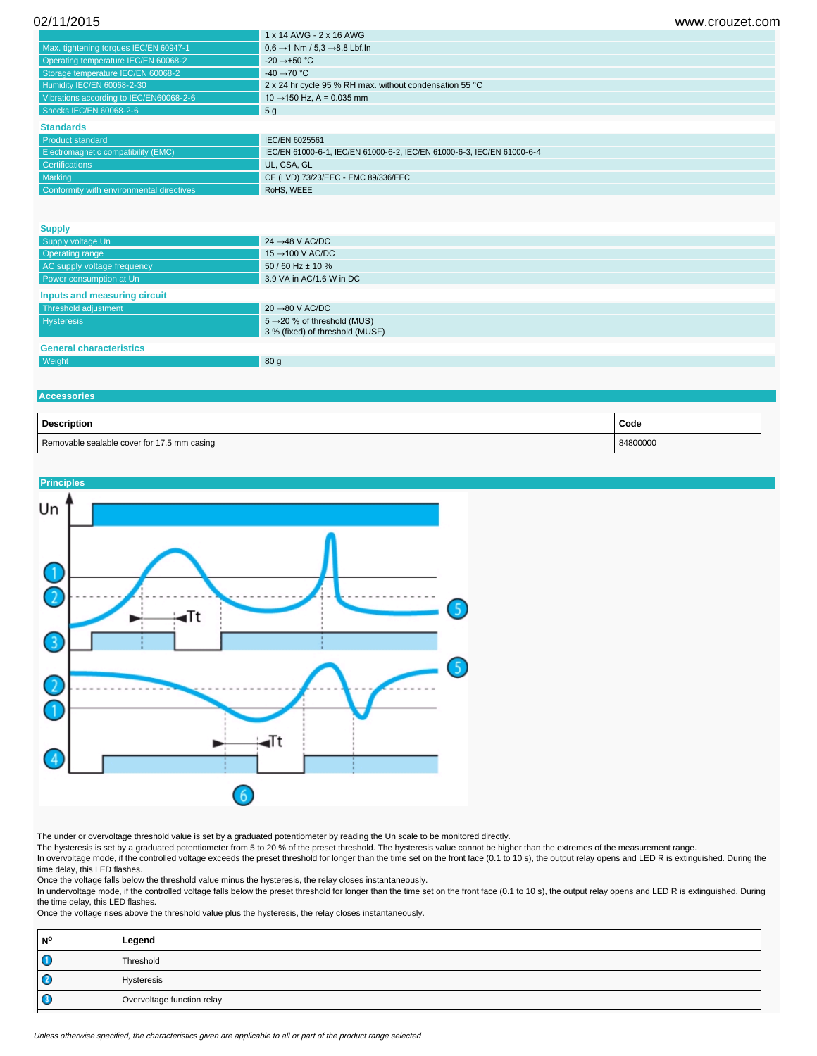| 02/11/2015 | www.crouzet.com |
|------------|-----------------|
|            |                 |

|                                                          | 1 x 14 AWG - 2 x 16 AWG                                                |
|----------------------------------------------------------|------------------------------------------------------------------------|
| Max. tightening torques IEC/EN 60947-1                   | $0.6 \rightarrow 1$ Nm / 5.3 $\rightarrow$ 8.8 Lbf.ln                  |
| Operating temperature IEC/EN 60068-2                     | $-20 \rightarrow +50$ °C                                               |
| Storage temperature IEC/EN 60068-2                       | -40 $\rightarrow$ 70 °C                                                |
| Humidity IEC/EN 60068-2-30                               | 2 x 24 hr cycle 95 % RH max. without condensation 55 °C                |
| Vibrations according to IEC/EN60068-2-6                  | $10 \rightarrow 150$ Hz, A = 0.035 mm                                  |
| Shocks IEC/EN 60068-2-6                                  | 5 <sub>g</sub>                                                         |
| <b>Standards</b>                                         |                                                                        |
| <b>Product standard</b>                                  | IEC/EN 6025561                                                         |
| Electromagnetic compatibility (EMC)                      | IEC/EN 61000-6-1, IEC/EN 61000-6-2, IEC/EN 61000-6-3, IEC/EN 61000-6-4 |
| <b>Certifications</b>                                    | UL, CSA, GL                                                            |
| Marking                                                  | CE (LVD) 73/23/EEC - EMC 89/336/EEC                                    |
| Conformity with environmental directives                 | RoHS, WEEE                                                             |
|                                                          |                                                                        |
|                                                          |                                                                        |
| <b>Supply</b>                                            |                                                                        |
| <b>Contract in the first start of the Contract State</b> | 24.4011ACDO                                                            |

| Supply voltage Un              | 24 $\rightarrow$ 48 V AC/DC                                                |  |
|--------------------------------|----------------------------------------------------------------------------|--|
| <b>Operating range</b>         | 15 $\rightarrow$ 100 V AC/DC                                               |  |
| AC supply voltage frequency    | $50/60$ Hz $\pm$ 10 %                                                      |  |
| Power consumption at Un        | 3.9 VA in AC/1.6 W in DC                                                   |  |
| Inputs and measuring circuit   |                                                                            |  |
| Threshold adjustment           | $20 \rightarrow 80$ V AC/DC                                                |  |
| <b>Hysteresis</b>              | $5 \rightarrow 20$ % of threshold (MUS)<br>3 % (fixed) of threshold (MUSF) |  |
| <b>General characteristics</b> |                                                                            |  |
| Weight                         | 80 <sub>g</sub>                                                            |  |
|                                |                                                                            |  |

# **Accessories**

| <b>Description</b>                          | Code     |
|---------------------------------------------|----------|
| Removable sealable cover for 17.5 mm casing | 84800000 |



The under or overvoltage threshold value is set by a graduated potentiometer by reading the Un scale to be monitored directly.

The hysteresis is set by a graduated potentiometer from 5 to 20 % of the preset threshold. The hysteresis value cannot be higher than the extremes of the measurement range.

In overvoltage mode, if the controlled voltage exceeds the preset threshold for longer than the time set on the front face (0.1 to 10 s), the output relay opens and LED R is extinguished. During the time delay, this LED flashes.

Once the voltage falls below the threshold value minus the hysteresis, the relay closes instantaneously.

In undervoltage mode, if the controlled voltage falls below the preset threshold for longer than the time set on the front face (0.1 to 10 s), the output relay opens and LED R is extinguished. During the time delay, this LED flashes.

Once the voltage rises above the threshold value plus the hysteresis, the relay closes instantaneously.

| N° | Legend                     |
|----|----------------------------|
|    | Threshold                  |
|    | Hysteresis                 |
|    | Overvoltage function relay |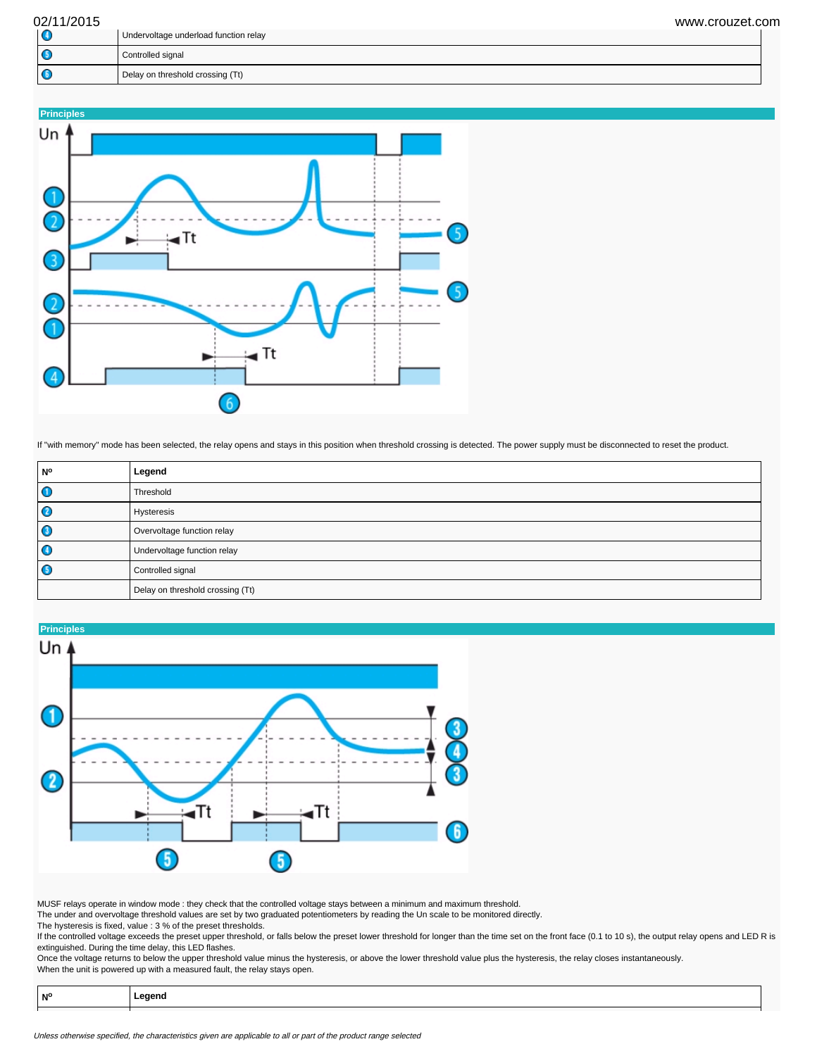| 02/11/2015  | www.crouzet.com                       |  |
|-------------|---------------------------------------|--|
| $\mathbf G$ | Undervoltage underload function relay |  |
|             | Controlled signal                     |  |
|             | Delay on threshold crossing (Tt)      |  |



If "with memory" mode has been selected, the relay opens and stays in this position when threshold crossing is detected. The power supply must be disconnected to reset the product.

| <b>No</b> | Legend                           |  |
|-----------|----------------------------------|--|
| $\bullet$ | Threshold                        |  |
| O         | Hysteresis                       |  |
| $\bullet$ | Overvoltage function relay       |  |
| $\bullet$ | Undervoltage function relay      |  |
| $\bullet$ | Controlled signal                |  |
|           | Delay on threshold crossing (Tt) |  |



MUSF relays operate in window mode : they check that the controlled voltage stays between a minimum and maximum threshold.

The under and overvoltage threshold values are set by two graduated potentiometers by reading the Un scale to be monitored directly.

The hysteresis is fixed, value : 3 % of the preset thresholds. If the controlled voltage exceeds the preset upper threshold, or falls below the preset lower threshold for longer than the time set on the front face (0.1 to 10 s), the output relay opens and LED R is extinguished. During the time delay, this LED flashes.

Once the voltage returns to below the upper threshold value minus the hysteresis, or above the lower threshold value plus the hysteresis, the relay closes instantaneously. When the unit is powered up with a measured fault, the relay stays open.

| <b>NIO</b> | eaena |
|------------|-------|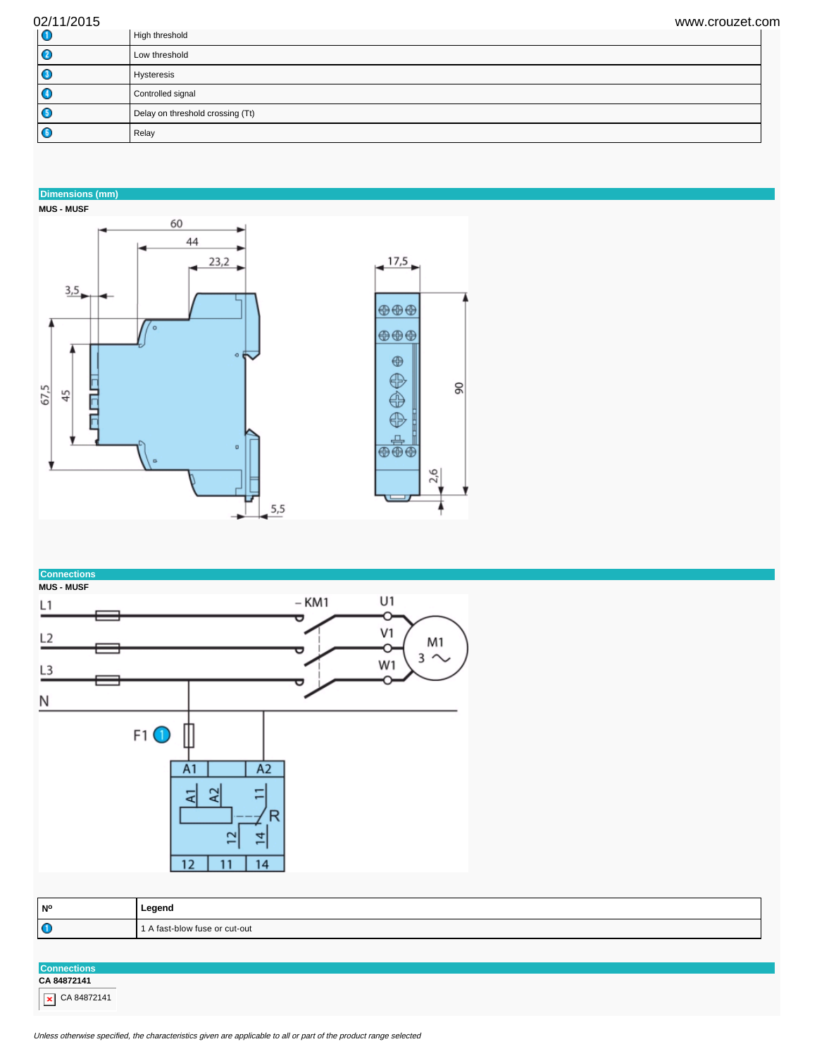| 02/11/2015 | www.crouzet.com                  |  |
|------------|----------------------------------|--|
| 10         | High threshold                   |  |
| O          | Low threshold                    |  |
| O          | Hysteresis                       |  |
| O          | Controlled signal                |  |
| G          | Delay on threshold crossing (Tt) |  |
| G          | Relay                            |  |

 $\frac{8}{2}$ 

# **Dimensions (mm)**







| N°        | Legend                        |
|-----------|-------------------------------|
| $\bullet$ | 1 A fast-blow fuse or cut-out |

**Connections CA 84872141**  $\overline{\phantom{1}}$  CA 84872141